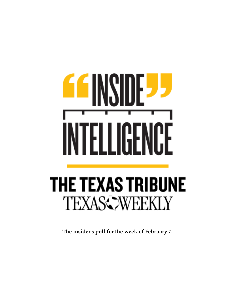## ŀ, **EE INX** ┟ ĽЫ **THE TEXAS TRIBUNE TEXASC WEEKLY**

**The insider's poll for the week of February 7.**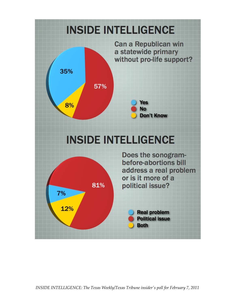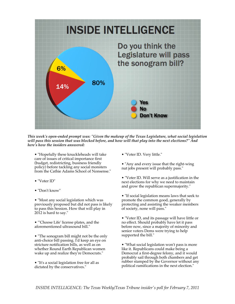

*This week's open-ended prompt was: "Given the makeup of the Texas Legislature, what social legislation will pass this session that was blocked before, and how will that play into the next elections?" And here's how the insiders answered:*

• "Hopefully these knuckleheads will take care of issues of critical importance first (budget, redistricting, business friendly policy) before tackling any social monsters from the Cathie Adams School of Nonsense."

• "Voter ID"

• "Don't know"

• "Most any social legislation which was previously proposed but did not pass is likely to pass this Session. How that will play in 2012 is hard to say."

• "'Choose Life' license plates, and the aforementioned ultrasound bill."

• "The sonogram bill might not be the only anti-choice bill passing. I'd keep an eye on stricture notification bills, as well as on whether Round Earth Republican women wake up and realize they're Democrats."

• "It's a social legislation free for all as dictated by the conservatives."

• "Voter ID. Very little."

• "Any and every issue that the right-wing nut jobs present will probably pass."

• "Voter ID. Will serve as a justification in the next elections for why we need to maintain and grow the republican supermajority."

• "If social legislation means laws that seek to promote the common good, generally by protecting and assisting the weaker members of society, none will pass."

• "Voter ID, and its passage will have little or no effect. Should probably have let it pass before now, since a majority of minority and senior voters Dems were trying to help supported the bill."

• "What social legislation won't pass is more like it. Republicans could make being a Democrat a first-degree felony, and it would probably sail through both chambers and get rubber stamped by the Governor without any political ramifications in the next election."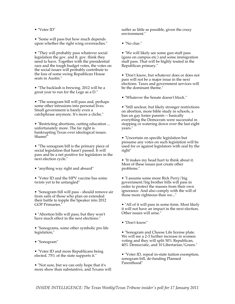• "Voter ID"

• "Some will pass but how much depends upon whether the right wing overreaches."

• "They will probably pass whatever social legislation the gov. and lt. gov. think they need to have. Together with the presidential race and the tough budget votes, the votes on the social issues will probably contribute to the loss of some swing Republican House seats in Austin."

• "The backlash is brewing. 2012 will be a great year to run for the Lege as a D."

• "The sonogram bill will pass and, perhaps some other intrusions into personal lives. Small government is barely even a catchphrase anymore. It's more a cliche."

• "Restricting abortions, cutting education ... unfortunately more. The far right is bankrupting Texas over ideological issues. Shame!"

• "The sonogram bill is the primary piece of social legislation that hasn't passed. It will pass and be a net positive for legislators in the next election cycle."

• "anything way right and absurd"

• "Voter ID and the HPV vaccine has some twists yet to be untangled"

• "Sonogram bill will pass - should remove air from sails of those who plan on extended their battle to topple the Speaker into 2012 GOP Primaries."

• "Abortion bills will pass, but they won't have much effect in the next elections."

• "Sonograms, some other symbolic pro life legislation,"

• "Sonogram"

• "Voter ID and more Republicans being elected. 75% of the state supports it."

• "Not sure, but we can only hope that it's more show than substantive, and Texans will suffer as little as possible, given the crazy environment."

• "No clue."

• "We will likely see some gun stuff pass (guns on campus etc.) and some immigration stuff pass. That will be highly touted in the Republican primary."

• "Don't know, but whatever does or does not pass will not be a major issue in the next elections. Taxes and government services will be the dominant theme."

• "Whatever the Senate doesn't block."

• "Still unclear, but likely stronger restrictions on abortion, more bible study in schools, a ban on gay foster parents -- basically everything the Democrats were successful in stopping or watering down over the last eight years."

• "Uncertain on specific legislation but presume any votes on such legislation will be used for or against legislators with zeal by the right"

• "It makes my head hurt to think about it. Most of these issues just create other problems."

• "I assume some more Rick Perry/big government/big brother bills will pass in order to protect the masses from their own ignorance. And also comply with the will of those more righteous than we..."

• "All of it will pass in some form. Most likely it will not have an impact in the next election. Other issues will arise."

• "Don't know"

• "Sonogram and Choose Life license plate. We will see a 2-3 further increase in women voting and they will split 50% Republican, 40% Democratic, and 10 Libertarian/Green."

• "Voter ID, repeal in-state tuition exemption, sonogram bill, de-funding Planned Parenthood"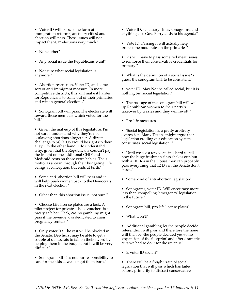• "Voter ID will pass, some form of immigration reform (sanctuary cities) and abortion will pass. These issues will not impact the 2012 elections very much."

• "None other"

• "Any social issue the Republicans want"

• "Not sure what social legislation is anymore."

• "Abortion restriction, Voter ID, and some sort of anti-immigrant measure. In more competitive districts, this will make it harder for Republicans to come out of their primaries and win in general elections."

• "Sonogram bill will pass. The electorate will reward those members which voted for the bill."

• "Given the makeup of this legislature, I'm not sure I understand why they're not outlawing abortions altogether. A direct challenge to SCOTUS would be right up their alley. On the other hand, I do understand why, given that the Republicans couldn't pay the freight on the additional CHIP and Medicaid costs on those extra babies. Their motto, as shown through their budgeting: life beings at conception, but ends at birth."

• "Some anti- abortion bill will pass and it will help push women back to the Democrats in the next election."

• "Other than this abortion issue, not sure."

• "Choose Life license plates are a lock. A pilot project for private school vouchers is a pretty safe bet. Heck, casino gambling might pass if the revenue was dedicated to crisis pregnancy centers!"

• "Only voter ID. The rest will be blocked in the Senate. Dewhurst may be able to get a couple of democrats to fall on their sword by helping them in the budget, but it will be very difficult."

• "Sonogram bill - it's not our responsibility to care for the kids ... we just got them born."

• "Voter ID, sanctuary cities, sonograms, and anything else Gov. Perry adds to his agenda"

• "Vote ID. Passing it will actually help protect the moderates in the primaries"

• "R's will have to pass some red meat issues to reinforce their conservative credentials for primary."

• "What is the definition of a social issue? i guess the sonogram bill, to be consistent."

• "voter ID- May Not be called social, but it is nothing but social legislation"

• "The passage of the sonogram bill will wake up Republican women to their party's takeover by crazies and they will revolt."

• "Pro-life measures"

• "'Social legislation' is a pretty arbitrary expression. Many Texans might argue that legislation eroding our education system constitutes 'social legislation.'"

• "Until we see a few votes it is hard to tell how the huge freshman class shakes out, but with a 101 R's in the House they can probably pass everything that 12 D's in the Senate don't block."

• "Some kind of anti abortion legislation"

• "Sonograms, voter ID. Will encourage more less-than-compelling 'emergency' legislation in the future."

- "Sonogram bill, pro-life license plates"
- "What won't?"

• "Additional gambling-let the people decidereferendum will pass and there fore the issue will then be -the people decided yes-so no 'expansion of the footprint' and after dramatic cuts we had to do it for the revenue"

• "is voter ID social?"

• "There will be a freight train of social legislation that will pass which has failed before, primarily to distract conservative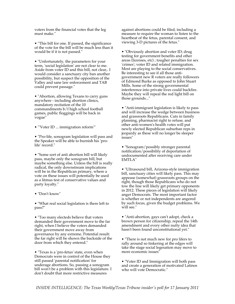voters from the financial votes that the leg must make."

• "This bill for one. If passed, the significance of the vote for the bill will be much less than it would be if it is not passed."

• "Unfortunately, the parameters for your term, 'social legislation' are not clear to me. Aside from voter ID and this bill, not clear,. I would consider a sanctuary city ban another possibility, but suspect the opposition of the Valley and sane law enforcement and TAB could prevent passage."

• "Abortion, allowing Texans to carry guns anywhere - including abortion clinics, mandatory recitation of the 10 commandments b/f high school football games, public floggings will be back in vogue"

• "'Voter ID ... immigration reform'"

• "Pro-life, sonogram legislation will pass and the Speaker will be able to burnish his 'prolife' record."

• "Some sort of anti abortion bill will likely pass, maybe only the sonogram bill, but maybe something else. Unless the bill is really radical, the only downstream implications will be in the Republican primary, where a vote on these issues will potentially be used as a litmus test of conservative values and party loyalty."

• "Don't know"

• "What real social legislation is there left to pass?"

• "Too many electeds believe that voters demanded their government move to the far right, when I believe the voters demanded their government move away from governance by any extreme. Potential result: the far right will be shown the backside of the door from which they entered."

• "Texas is a 'pro-fetus' state, even when Democrats were in control of the House they still passed 'parental notification' for underage abortions. So, passing a sonogram bill won't be a problem with this legislature. I don't doubt that more restrictive measures

against abortions could be filed, including a measure to require the woman to listen to the heartbeat of the fetus, parental consent, and viewing 3-D pictures of the fetus."

• "Obviously abortion and voter ID; drug testing for government benefits and other areas (licenses, etc) ; tougher penalties for sex 'crimes'; voter ID and related immigration. Most are playing to the social conservatives. Be interesting to see if all those antigovernment new R voters are really followers of Edmond Burke as opposed to John Stuart Mills. Some of the strong governmental interference into private lives could backfire. Maybe they will repeal the red light bill on those grounds..."

• "Anti-immigrant legislation is likely to pass and will increase the wedge between business and grassroots Republicans. Cuts in family planning, pharmacist right to refuse, and other anti-women's health votes will put newly elected Republican suburban reps in jeopardy as these will no longer be sleeper issues"

• "Sonogram/possibly stronger parental notification/possibility of deportation of undocumented after receiving care under EMTLA"

• "Ultrasound bill, Arizona-style immigration bill, sanctuary cities will likely pass. This may appease (somewhat) grassroots groups on the right, though those Republicans who do not tow the line will likely get primary opponents in 2012. These pieces of legislation will likely anger Democrats. The most important factor is whether or not independents are angered by such focus, given the budget problems. We will see."

• "Anti-abortion, gays can't adopt, check a brown person for citizenship, repeal the 14th amendment and every other nutty idea that hasn't been found unconstitutional yet."

• "There is not much new for pro lifers to rally around so tinkering at the edges will take the stage social legesation may move to more economic issues"

• "Voter ID and Immigration will both pass and create a generation of motivated Latinos who will vote Democratic."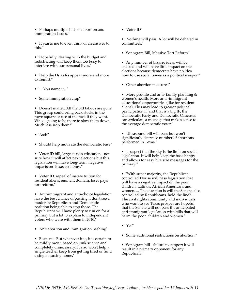• "Perhaps multiple bills on abortion and immigration issues."

• "It scares me to even think of an answer to this."

• "Hopefully, dealing with the budget and redistricting will keep them too busy to interfere with our personal lives."

• "Help the Ds as Rs appear more and more extremist."

• "... You name it..."

• "Some immigration crap"

• "Doesn't matter. All the old taboos are gone. This group could bring back stocks in the town square or use of the rack if they want. Who is going to be there to slow them down. Much less stop them?"

- "Asdf"
- "Should help motivate the democratic base"

• "Voter ID bill, large cuts in education - not sure how it will affect next elections but this legislation will have long-term, negative impacts on Texas economy."

• "Voter ID, repeal of instate tuition for resident aliens, eminent domain, loser pays tort reform,"

• "Anti-immigrant and anti-choice legislation have the best chance of passing. I don't see a moderate Republican and Democratic coalition being able to stop those. The Republicans will have plenty to run on for a primary but a lot to explain to independent voters who were with them in 2010."

• "Anti abortion and immigration bashing"

• "Beats me. But whatever it is, it is certain to be mildly racist, based on junk science and completely unnecessary. It also won't help a single teacher keep from getting fired or fund a single nursing home."

• "Voter ID"

• "Nothing will pass. A lot will be debated in committees."

- "Sonogram Bill, Massive Tort Reform"
- "Any number of bizarre ideas will be enacted and will have little impact on the elections because democrats have no idea how to use social issues as a political weapon"
- "Other abortion measures"

• "More pro-life and anti- family planning & women's health. More anti -immigrant educational opportunities (like for resident aliens). This may lead to greater political participation if, and that is a big IF, the Democratic Party and Democratic Caucuses can articulate a message that makes sense to the average democratic voter."

• "Ultrasound bill will pass but won't significantly decrease number of abortions performed in Texas."

• "I suspect that the sky is the limit on social legislation. It will help keep the base happy and allows for easy bite size messages for the primary."

• "'With super majority, the Republican controlled House will pass legislation that will have a negative impact on the poor, children, Latinos, African Americans and women. ... The question is will the Senate, also controlled by Republicans, hold the line? ... The civil rights community and individuals who want to see Texas prosper are hopeful that the Senate will not pass the anticipated anti-immigrant legislation with bills that will harm the poor, children and women.'"

• "Yes"

• "Some additional restrictions on abortion."

• "Sonogram bill - failure to support it will result in a primary opponent for any Republican."